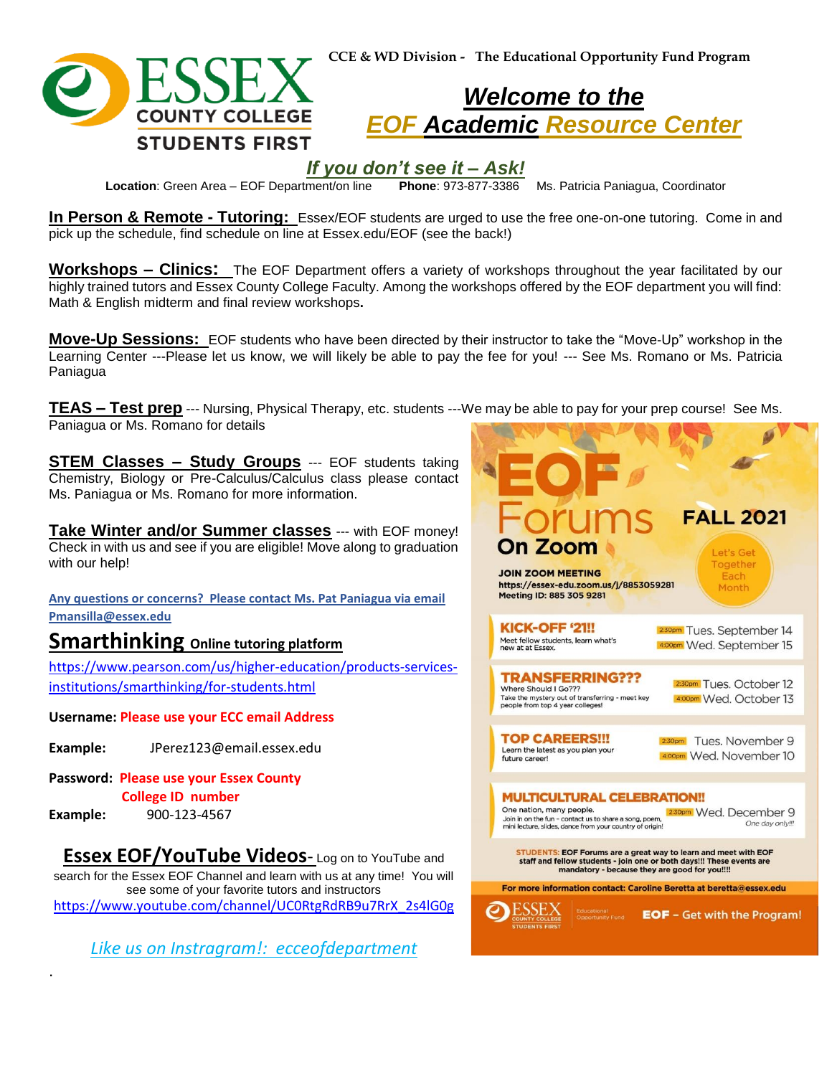



## *Welcome to the EOF Academic Resource Center*

# *If you don't see it – Ask!*

**Location**: Green Area – EOF Department/on line **Phone**: 973-877-3386 Ms. Patricia Paniagua, Coordinator

**In Person & Remote - Tutoring:** Essex/EOF students are urged to use the free one-on-one tutoring. Come in and pick up the schedule, find schedule on line at Essex.edu/EOF (see the back!)

**Workshops – Clinics:** The EOF Department offers a variety of workshops throughout the year facilitated by our highly trained tutors and Essex County College Faculty. Among the workshops offered by the EOF department you will find: Math & English midterm and final review workshops**.** 

**Move-Up Sessions:** EOF students who have been directed by their instructor to take the "Move-Up" workshop in the Learning Center ---Please let us know, we will likely be able to pay the fee for you! --- See Ms. Romano or Ms. Patricia Paniagua

**TEAS – Test prep** --- Nursing, Physical Therapy, etc. students ---We may be able to pay for your prep course! See Ms. Paniagua or Ms. Romano for details

**STEM Classes – Study Groups** --- EOF students taking Chemistry, Biology or Pre-Calculus/Calculus class please contact Ms. Paniagua or Ms. Romano for more information.

**Take Winter and/or Summer classes** --- with EOF money! Check in with us and see if you are eligible! Move along to graduation with our help!

**Any questions or concerns? Please contact Ms. Pat Paniagua via email Pmansilla@essex.edu**

### **Smarthinking Online tutoring platform**

[https://www.pearson.com/us/higher-education/products-services](https://www.pearson.com/us/higher-education/products-services-institutions/smarthinking/for-students.html)[institutions/smarthinking/for-students.html](https://www.pearson.com/us/higher-education/products-services-institutions/smarthinking/for-students.html) 

#### **Username: Please use your ECC email Address**

- **Example:** JPerez123@email.essex.edu
- **Password: Please use your Essex County College ID number**

**Example:** 900-123-4567

.

**Essex EOF/YouTube Videos**- Log on to YouTube and search for the Essex EOF Channel and learn with us at any time! You will see some of your favorite tutors and instructors [https://www.youtube.com/channel/UC0RtgRdRB9u7RrX\\_2s4lG0g](https://www.youtube.com/channel/UC0RtgRdRB9u7RrX_2s4lG0g)

*Like us on Instragram!: ecceofdepartment*